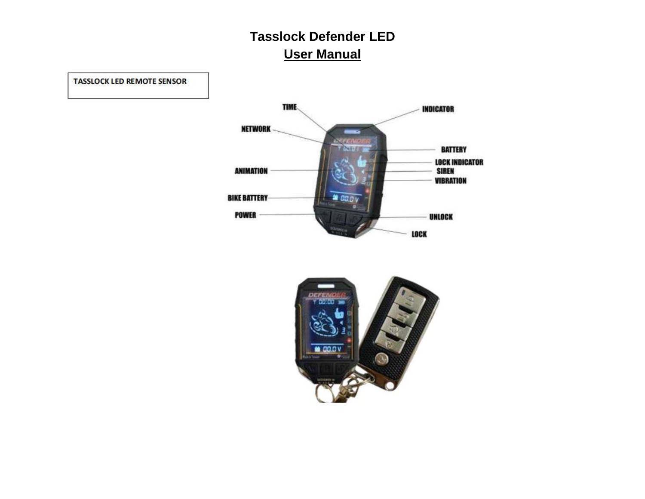**TIME. INDICATOR NETWORK BATTERY LOCK INDICATOR ANIMATION SIREN VIBRATION BIKE BATTERY**  $2000v$ **POWER** UNLOCK LOCK

**TASSLOCK LED REMOTE SENSOR** 

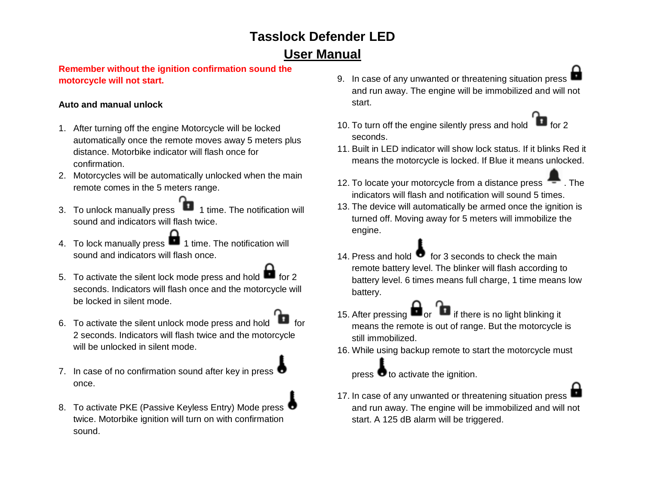### **Remember without the ignition confirmation sound the motorcycle will not start.**

### **Auto and manual unlock**

- 1. After turning off the engine Motorcycle will be locked automatically once the remote moves away 5 meters plus distance. Motorbike indicator will flash once for confirmation.
- 2. Motorcycles will be automatically unlocked when the main remote comes in the 5 meters range.
- 3. To unlock manually press 1 1 time. The notification will sound and indicators will flash twice.
- 4. To lock manually press **1** 1 time. The notification will sound and indicators will flash once.
- 5. To activate the silent lock mode press and hold  $\blacksquare$  for 2 seconds. Indicators will flash once and the motorcycle will be locked in silent mode.
- 6. To activate the silent unlock mode press and hold 2 seconds. Indicators will flash twice and the motorcycle will be unlocked in silent mode.
- 7. In case of no confirmation sound after key in press  $\bullet$ once.
- 8. To activate PKE (Passive Keyless Entry) Mode press twice. Motorbike ignition will turn on with confirmation sound.
- 9. In case of any unwanted or threatening situation press and run away. The engine will be immobilized and will not start.
- 10. To turn off the engine silently press and hold for 2 seconds.
- 11. Built in LED indicator will show lock status. If it blinks Red it means the motorcycle is locked. If Blue it means unlocked.
- 12. To locate your motorcycle from a distance press **.** The indicators will flash and notification will sound 5 times.
- 13. The device will automatically be armed once the ignition is turned off. Moving away for 5 meters will immobilize the engine.
- 14. Press and hold  $\bullet$  for 3 seconds to check the main remote battery level. The blinker will flash according to battery level. 6 times means full charge, 1 time means low battery.
- 15. After pressing  $\blacksquare$  or  $\blacksquare$  if there is no light blinking it means the remote is out of range. But the motorcycle is still immobilized.
- 16. While using backup remote to start the motorcycle must

press  $\bullet$  to activate the ignition.

17. In case of any unwanted or threatening situation press and run away. The engine will be immobilized and will not start. A 125 dB alarm will be triggered.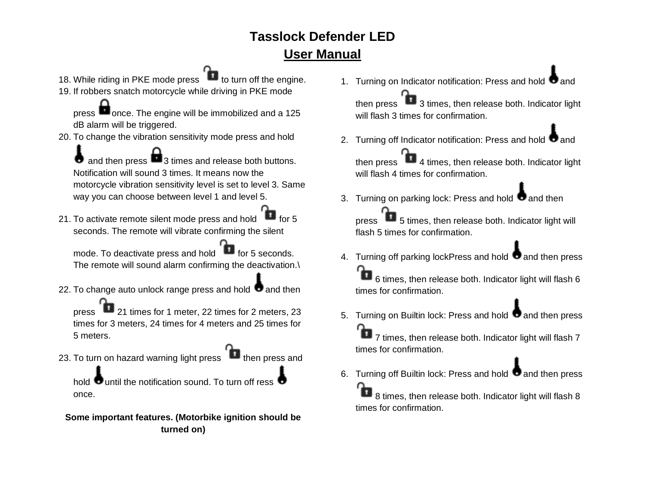- 18. While riding in PKE mode press **that** to turn off the engine.
- 19. If robbers snatch motorcycle while driving in PKE mode

press **once.** The engine will be immobilized and a 125 dB alarm will be triggered.

20. To change the vibration sensitivity mode press and hold

and then press  $\blacksquare$  3 times and release both buttons. Notification will sound 3 times. It means now the motorcycle vibration sensitivity level is set to level 3. Same way you can choose between level 1 and level 5.

21. To activate remote silent mode press and hold  $\blacksquare$  for 5 seconds. The remote will vibrate confirming the silent

mode. To deactivate press and hold for 5 seconds. The remote will sound alarm confirming the deactivation.\

22. To change auto unlock range press and hold  $\bullet$  and then

press 21 times for 1 meter, 22 times for 2 meters, 23 times for 3 meters, 24 times for 4 meters and 25 times for 5 meters.

23. To turn on hazard warning light press **then** press and

hold  $\bullet$  until the notification sound. To turn off ress  $\bullet$ once.

**Some important features. (Motorbike ignition should be turned on)** 

1. Turning on Indicator notification: Press and hold  $\bullet$  and

then press  $\Box$  3 times, then release both. Indicator light will flash 3 times for confirmation.

2. Turning off Indicator notification: Press and hold  $\bullet$  and

then press  $\begin{array}{|c|} \hline \end{array}$  4 times, then release both. Indicator light will flash 4 times for confirmation.

3. Turning on parking lock: Press and hold  $\bullet$  and then

press **5** times, then release both. Indicator light will flash 5 times for confirmation.

4. Turning off parking lockPress and hold  $\bullet$  and then press Ъ 6 times, then release both. Indicator light will flash 6

times for confirmation.

5. Turning on Builtin lock: Press and hold  $\bullet$  and then press 7 times, then release both. Indicator light will flash 7 times for confirmation.

6. Turning off Builtin lock: Press and hold  $\bullet$  and then press Ъ 8 times, then release both. Indicator light will flash 8

times for confirmation.